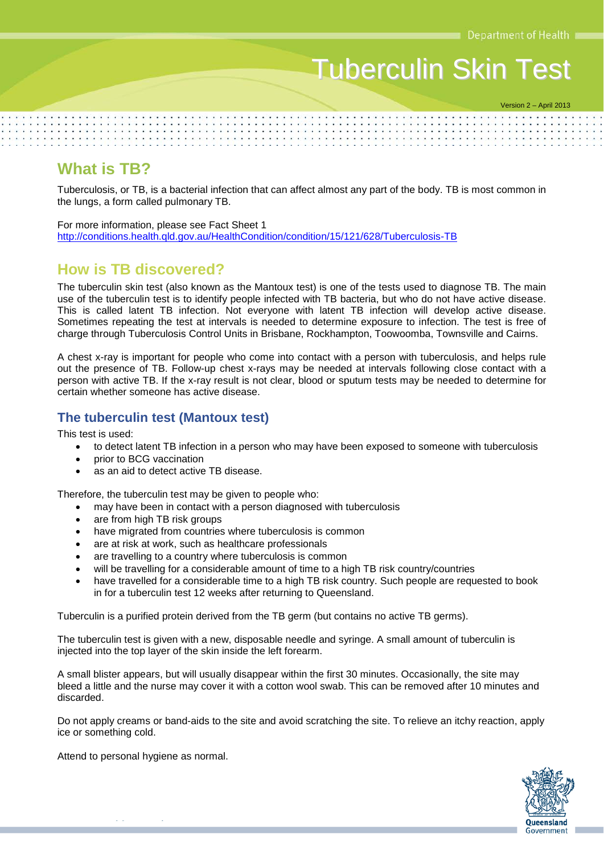# Tuberculin Skin Test

Version 2 – April 2013

## **What is TB?**

Tuberculosis, or TB, is a bacterial infection that can affect almost any part of the body. TB is most common in the lungs, a form called pulmonary TB.

For more information, please see Fact Sheet 1 <http://conditions.health.qld.gov.au/HealthCondition/condition/15/121/628/Tuberculosis-TB>

## **How is TB discovered?**

The tuberculin skin test (also known as the Mantoux test) is one of the tests used to diagnose TB. The main use of the tuberculin test is to identify people infected with TB bacteria, but who do not have active disease. This is called latent TB infection. Not everyone with latent TB infection will develop active disease. Sometimes repeating the test at intervals is needed to determine exposure to infection. The test is free of charge through Tuberculosis Control Units in Brisbane, Rockhampton, Toowoomba, Townsville and Cairns.

A chest x-ray is important for people who come into contact with a person with tuberculosis, and helps rule out the presence of TB. Follow-up chest x-rays may be needed at intervals following close contact with a person with active TB. If the x-ray result is not clear, blood or sputum tests may be needed to determine for certain whether someone has active disease.

## **The tuberculin test (Mantoux test)**

This test is used:

- to detect latent TB infection in a person who may have been exposed to someone with tuberculosis
- prior to BCG vaccination
- as an aid to detect active TB disease.

Therefore, the tuberculin test may be given to people who:

- may have been in contact with a person diagnosed with tuberculosis
- are from high TB risk groups
- have migrated from countries where tuberculosis is common
- are at risk at work, such as healthcare professionals
- are travelling to a country where tuberculosis is common
- will be travelling for a considerable amount of time to a high TB risk country/countries
- have travelled for a considerable time to a high TB risk country. Such people are requested to book in for a tuberculin test 12 weeks after returning to Queensland.

Tuberculin is a purified protein derived from the TB germ (but contains no active TB germs).

The tuberculin test is given with a new, disposable needle and syringe. A small amount of tuberculin is injected into the top layer of the skin inside the left forearm.

A small blister appears, but will usually disappear within the first 30 minutes. Occasionally, the site may bleed a little and the nurse may cover it with a cotton wool swab. This can be removed after 10 minutes and discarded.

Do not apply creams or band-aids to the site and avoid scratching the site. To relieve an itchy reaction, apply ice or something cold.

Attend to personal hygiene as normal.